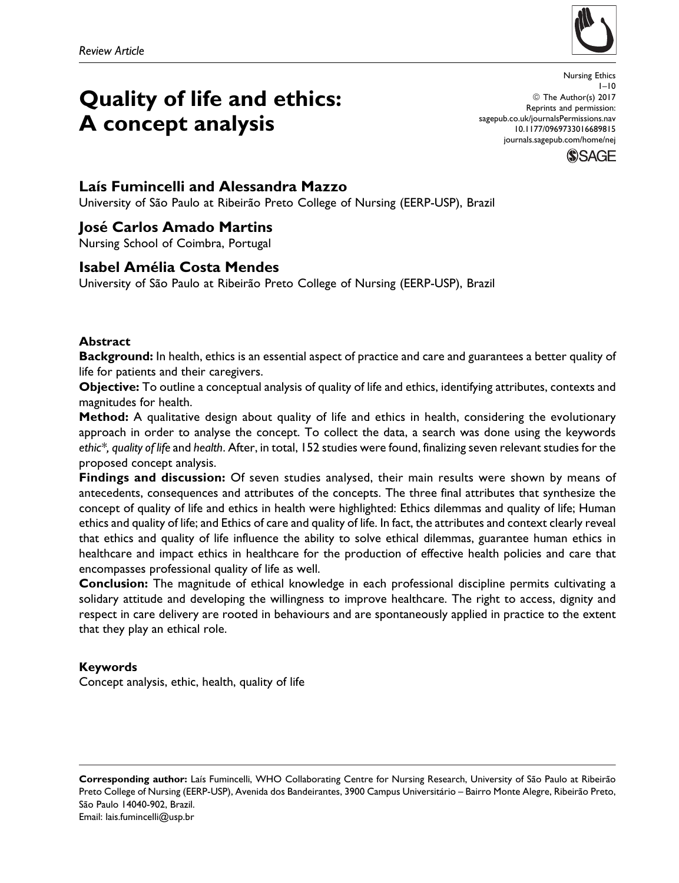

# Quality of life and ethics: A concept analysis

Nursing Ethics  $1 - 10$ © The Author(s) 2017 Reprints and permission: [sagepub.co.uk/journalsPermissions.nav](http://www.sagepub.co.uk/journalsPermissions.nav) [10.1177/0969733016689815](https://doi.org/10.1177/0969733016689815) [journals.sagepub.com/home/nej](http://journals.sagepub.com/home/nej)

**SSAGF** 

## Laís Fumincelli and Alessandra Mazzo

University of São Paulo at Ribeirão Preto College of Nursing (EERP-USP), Brazil

# José Carlos Amado Martins

Nursing School of Coimbra, Portugal

# Isabel Amélia Costa Mendes

University of São Paulo at Ribeirão Preto College of Nursing (EERP-USP), Brazil

## Abstract

Background: In health, ethics is an essential aspect of practice and care and guarantees a better quality of life for patients and their caregivers.

Objective: To outline a conceptual analysis of quality of life and ethics, identifying attributes, contexts and magnitudes for health.

Method: A qualitative design about quality of life and ethics in health, considering the evolutionary approach in order to analyse the concept. To collect the data, a search was done using the keywords ethic\*, quality of life and health. After, in total, 152 studies were found, finalizing seven relevant studies for the proposed concept analysis.

Findings and discussion: Of seven studies analysed, their main results were shown by means of antecedents, consequences and attributes of the concepts. The three final attributes that synthesize the concept of quality of life and ethics in health were highlighted: Ethics dilemmas and quality of life; Human ethics and quality of life; and Ethics of care and quality of life. In fact, the attributes and context clearly reveal that ethics and quality of life influence the ability to solve ethical dilemmas, guarantee human ethics in healthcare and impact ethics in healthcare for the production of effective health policies and care that encompasses professional quality of life as well.

Conclusion: The magnitude of ethical knowledge in each professional discipline permits cultivating a solidary attitude and developing the willingness to improve healthcare. The right to access, dignity and respect in care delivery are rooted in behaviours and are spontaneously applied in practice to the extent that they play an ethical role.

## Keywords

Concept analysis, ethic, health, quality of life

Corresponding author: Laís Fumincelli, WHO Collaborating Centre for Nursing Research, University of São Paulo at Ribeirão Preto College of Nursing (EERP-USP), Avenida dos Bandeirantes, 3900 Campus Universitário – Bairro Monte Alegre, Ribeirão Preto, São Paulo 14040-902, Brazil. Email: lais.fumincelli@usp.br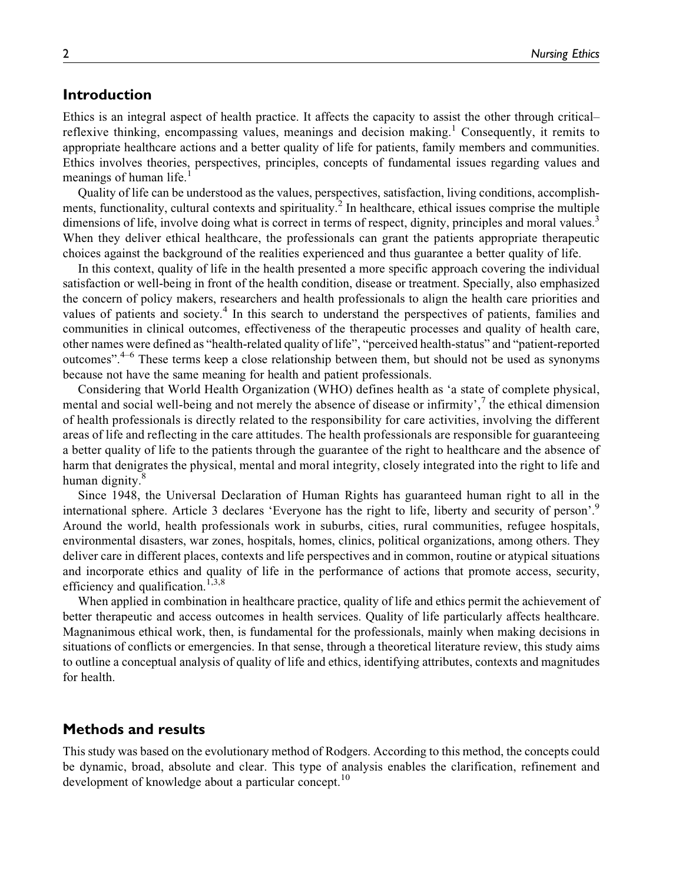## Introduction

Ethics is an integral aspect of health practice. It affects the capacity to assist the other through critical– reflexive thinking, encompassing values, meanings and decision making.<sup>1</sup> Consequently, it remits to appropriate healthcare actions and a better quality of life for patients, family members and communities. Ethics involves theories, perspectives, principles, concepts of fundamental issues regarding values and meanings of human life.

Quality of life can be understood as the values, perspectives, satisfaction, living conditions, accomplishments, functionality, cultural contexts and spirituality.<sup>2</sup> In healthcare, ethical issues comprise the multiple dimensions of life, involve doing what is correct in terms of respect, dignity, principles and moral values.<sup>3</sup> When they deliver ethical healthcare, the professionals can grant the patients appropriate therapeutic choices against the background of the realities experienced and thus guarantee a better quality of life.

In this context, quality of life in the health presented a more specific approach covering the individual satisfaction or well-being in front of the health condition, disease or treatment. Specially, also emphasized the concern of policy makers, researchers and health professionals to align the health care priorities and values of patients and society.<sup>4</sup> In this search to understand the perspectives of patients, families and communities in clinical outcomes, effectiveness of the therapeutic processes and quality of health care, other names were defined as "health-related quality of life", "perceived health-status" and "patient-reported outcomes".4–6 These terms keep a close relationship between them, but should not be used as synonyms because not have the same meaning for health and patient professionals.

Considering that World Health Organization (WHO) defines health as 'a state of complete physical, mental and social well-being and not merely the absence of disease or infirmity',<sup>7</sup> the ethical dimension of health professionals is directly related to the responsibility for care activities, involving the different areas of life and reflecting in the care attitudes. The health professionals are responsible for guaranteeing a better quality of life to the patients through the guarantee of the right to healthcare and the absence of harm that denigrates the physical, mental and moral integrity, closely integrated into the right to life and human dignity.<sup>8</sup>

Since 1948, the Universal Declaration of Human Rights has guaranteed human right to all in the international sphere. Article 3 declares 'Everyone has the right to life, liberty and security of person'.9 Around the world, health professionals work in suburbs, cities, rural communities, refugee hospitals, environmental disasters, war zones, hospitals, homes, clinics, political organizations, among others. They deliver care in different places, contexts and life perspectives and in common, routine or atypical situations and incorporate ethics and quality of life in the performance of actions that promote access, security, efficiency and qualification.<sup>1,3,8</sup>

When applied in combination in healthcare practice, quality of life and ethics permit the achievement of better therapeutic and access outcomes in health services. Quality of life particularly affects healthcare. Magnanimous ethical work, then, is fundamental for the professionals, mainly when making decisions in situations of conflicts or emergencies. In that sense, through a theoretical literature review, this study aims to outline a conceptual analysis of quality of life and ethics, identifying attributes, contexts and magnitudes for health.

## Methods and results

This study was based on the evolutionary method of Rodgers. According to this method, the concepts could be dynamic, broad, absolute and clear. This type of analysis enables the clarification, refinement and development of knowledge about a particular concept.<sup>10</sup>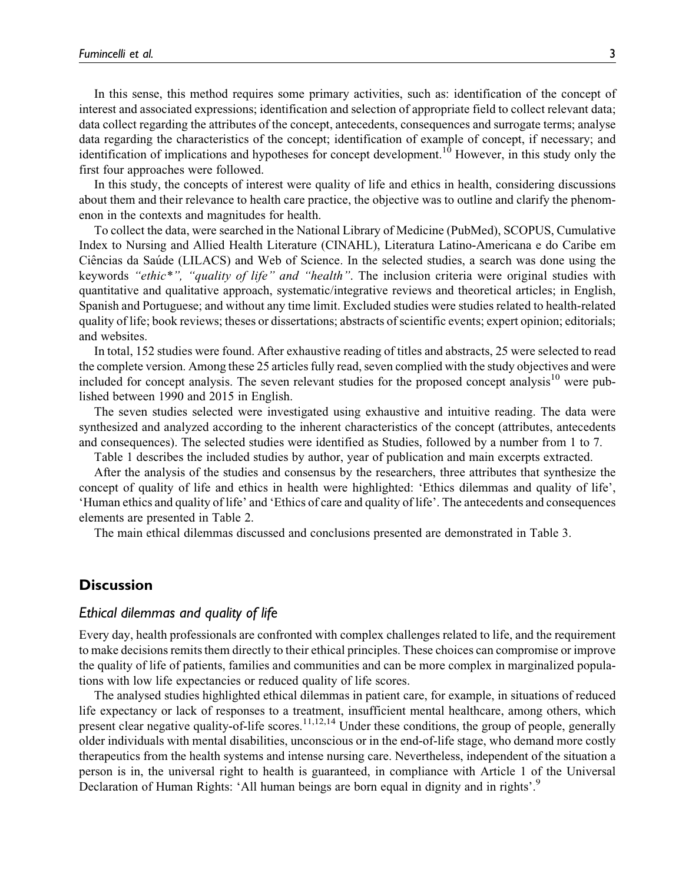In this sense, this method requires some primary activities, such as: identification of the concept of interest and associated expressions; identification and selection of appropriate field to collect relevant data; data collect regarding the attributes of the concept, antecedents, consequences and surrogate terms; analyse data regarding the characteristics of the concept; identification of example of concept, if necessary; and identification of implications and hypotheses for concept development.<sup>10</sup> However, in this study only the first four approaches were followed.

In this study, the concepts of interest were quality of life and ethics in health, considering discussions about them and their relevance to health care practice, the objective was to outline and clarify the phenomenon in the contexts and magnitudes for health.

To collect the data, were searched in the National Library of Medicine (PubMed), SCOPUS, Cumulative Index to Nursing and Allied Health Literature (CINAHL), Literatura Latino-Americana e do Caribe em Ciências da Saúde (LILACS) and Web of Science. In the selected studies, a search was done using the keywords "ethic\*", "quality of life" and "health". The inclusion criteria were original studies with quantitative and qualitative approach, systematic/integrative reviews and theoretical articles; in English, Spanish and Portuguese; and without any time limit. Excluded studies were studies related to health-related quality of life; book reviews; theses or dissertations; abstracts of scientific events; expert opinion; editorials; and websites.

In total, 152 studies were found. After exhaustive reading of titles and abstracts, 25 were selected to read the complete version. Among these 25 articles fully read, seven complied with the study objectives and were included for concept analysis. The seven relevant studies for the proposed concept analysis<sup>10</sup> were published between 1990 and 2015 in English.

The seven studies selected were investigated using exhaustive and intuitive reading. The data were synthesized and analyzed according to the inherent characteristics of the concept (attributes, antecedents and consequences). The selected studies were identified as Studies, followed by a number from 1 to 7.

Table 1 describes the included studies by author, year of publication and main excerpts extracted.

After the analysis of the studies and consensus by the researchers, three attributes that synthesize the concept of quality of life and ethics in health were highlighted: 'Ethics dilemmas and quality of life', 'Human ethics and quality of life' and 'Ethics of care and quality of life'. The antecedents and consequences elements are presented in Table 2.

The main ethical dilemmas discussed and conclusions presented are demonstrated in Table 3.

## **Discussion**

### Ethical dilemmas and quality of life

Every day, health professionals are confronted with complex challenges related to life, and the requirement to make decisions remits them directly to their ethical principles. These choices can compromise or improve the quality of life of patients, families and communities and can be more complex in marginalized populations with low life expectancies or reduced quality of life scores.

The analysed studies highlighted ethical dilemmas in patient care, for example, in situations of reduced life expectancy or lack of responses to a treatment, insufficient mental healthcare, among others, which present clear negative quality-of-life scores.<sup>11,12,14</sup> Under these conditions, the group of people, generally older individuals with mental disabilities, unconscious or in the end-of-life stage, who demand more costly therapeutics from the health systems and intense nursing care. Nevertheless, independent of the situation a person is in, the universal right to health is guaranteed, in compliance with Article 1 of the Universal Declaration of Human Rights: 'All human beings are born equal in dignity and in rights'.<sup>9</sup>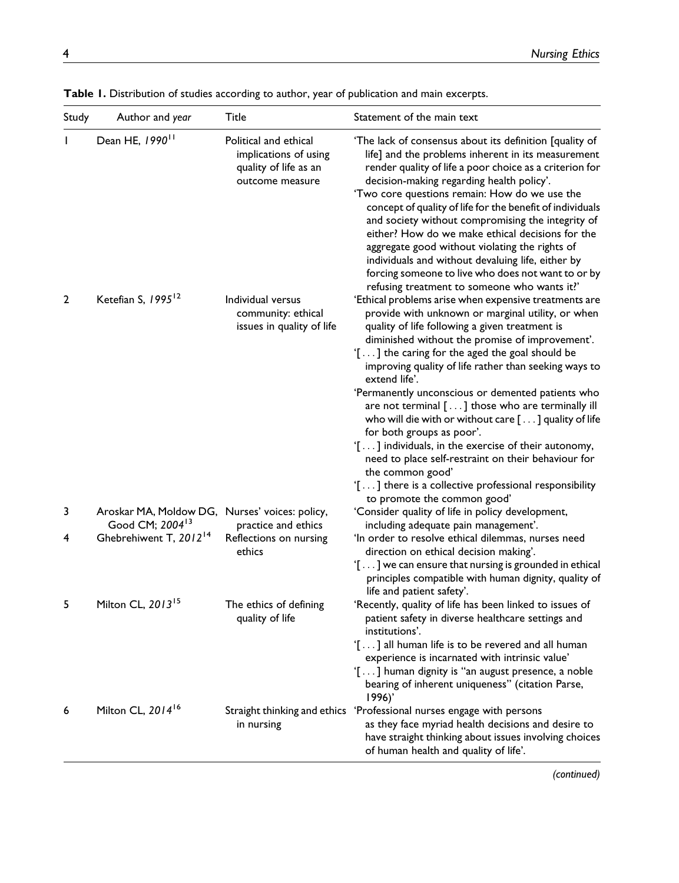| Study        | Author and year                                                               | Title                                                                                      | Statement of the main text                                                                                                                                                                                                                                                                                                                                                                                                                                                                                                                                                                                                                                                                                                            |
|--------------|-------------------------------------------------------------------------------|--------------------------------------------------------------------------------------------|---------------------------------------------------------------------------------------------------------------------------------------------------------------------------------------------------------------------------------------------------------------------------------------------------------------------------------------------------------------------------------------------------------------------------------------------------------------------------------------------------------------------------------------------------------------------------------------------------------------------------------------------------------------------------------------------------------------------------------------|
| $\mathbf{I}$ | Dean HE, 1990 <sup>11</sup>                                                   | Political and ethical<br>implications of using<br>quality of life as an<br>outcome measure | 'The lack of consensus about its definition [quality of<br>life] and the problems inherent in its measurement<br>render quality of life a poor choice as a criterion for<br>decision-making regarding health policy'.<br>'Two core questions remain: How do we use the<br>concept of quality of life for the benefit of individuals<br>and society without compromising the integrity of<br>either? How do we make ethical decisions for the<br>aggregate good without violating the rights of<br>individuals and without devaluing life, either by<br>forcing someone to live who does not want to or by<br>refusing treatment to someone who wants it?'                                                                             |
| $\mathbf{2}$ | Ketefian S, 1995 <sup>12</sup>                                                | Individual versus<br>community: ethical<br>issues in quality of life                       | 'Ethical problems arise when expensive treatments are<br>provide with unknown or marginal utility, or when<br>quality of life following a given treatment is<br>diminished without the promise of improvement'.<br>'[] the caring for the aged the goal should be<br>improving quality of life rather than seeking ways to<br>extend life'.<br>'Permanently unconscious or demented patients who<br>are not terminal [] those who are terminally ill<br>who will die with or without care [ ] quality of life<br>for both groups as poor'.<br>'[] individuals, in the exercise of their autonomy,<br>need to place self-restraint on their behaviour for<br>the common good'<br>'[] there is a collective professional responsibility |
| 3            | Aroskar MA, Moldow DG, Nurses' voices: policy,<br>Good CM; 2004 <sup>13</sup> | practice and ethics                                                                        | to promote the common good'<br>'Consider quality of life in policy development,<br>including adequate pain management'.                                                                                                                                                                                                                                                                                                                                                                                                                                                                                                                                                                                                               |
| 4            | Ghebrehiwent T, 2012 <sup>14</sup>                                            | Reflections on nursing<br>ethics                                                           | 'In order to resolve ethical dilemmas, nurses need<br>direction on ethical decision making'.<br>'[] we can ensure that nursing is grounded in ethical<br>principles compatible with human dignity, quality of<br>life and patient safety'.                                                                                                                                                                                                                                                                                                                                                                                                                                                                                            |
| 5            | Milton CL, 2013 <sup>15</sup>                                                 | The ethics of defining<br>quality of life                                                  | 'Recently, quality of life has been linked to issues of<br>patient safety in diverse healthcare settings and<br>institutions'.<br>'[] all human life is to be revered and all human<br>experience is incarnated with intrinsic value'<br>'[] human dignity is "an august presence, a noble<br>bearing of inherent uniqueness" (citation Parse,<br>1996)'                                                                                                                                                                                                                                                                                                                                                                              |
| 6            | Milton CL, 2014 <sup>16</sup>                                                 | in nursing                                                                                 | Straight thinking and ethics 'Professional nurses engage with persons<br>as they face myriad health decisions and desire to<br>have straight thinking about issues involving choices<br>of human health and quality of life'.                                                                                                                                                                                                                                                                                                                                                                                                                                                                                                         |

Table 1. Distribution of studies according to author, year of publication and main excerpts.

(continued)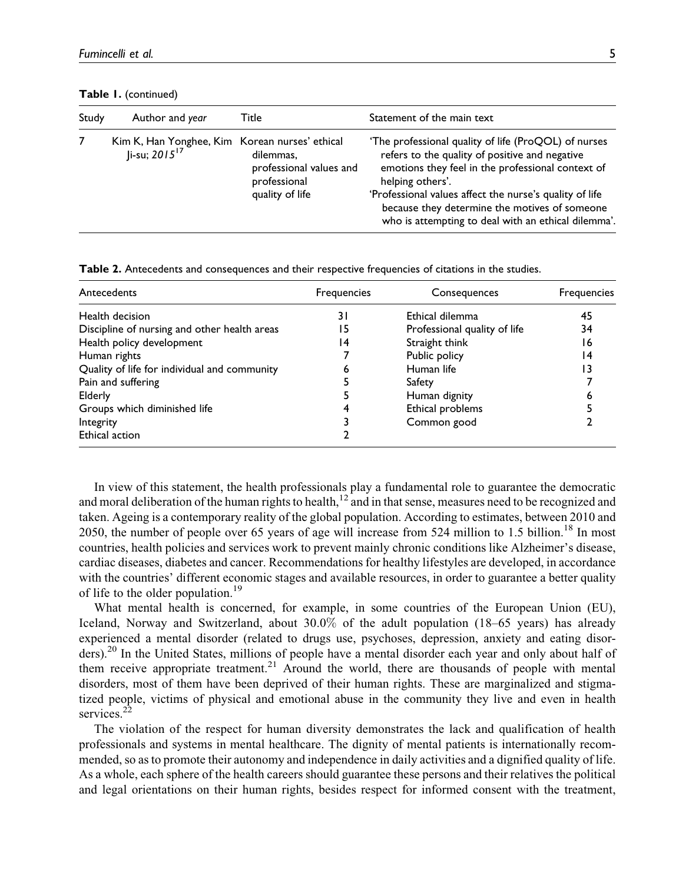Table 1. (continued)

| Study | Author and year                                                                | Title                                                                   | Statement of the main text                                                                                                                                                                                                                                                                                                                         |
|-------|--------------------------------------------------------------------------------|-------------------------------------------------------------------------|----------------------------------------------------------------------------------------------------------------------------------------------------------------------------------------------------------------------------------------------------------------------------------------------------------------------------------------------------|
|       | Kim K, Han Yonghee, Kim Korean nurses' ethical<br>$ i$ -su; 2015 <sup>17</sup> | dilemmas,<br>professional values and<br>professional<br>quality of life | 'The professional quality of life (ProQOL) of nurses<br>refers to the quality of positive and negative<br>emotions they feel in the professional context of<br>helping others'.<br>'Professional values affect the nurse's quality of life<br>because they determine the motives of someone<br>who is attempting to deal with an ethical dilemma'. |

Table 2. Antecedents and consequences and their respective frequencies of citations in the studies.

| Antecedents                                  | Frequencies | Consequences                 | Frequencies |
|----------------------------------------------|-------------|------------------------------|-------------|
| Health decision                              | 31          | Ethical dilemma              | 45          |
| Discipline of nursing and other health areas | 15          | Professional quality of life | 34          |
| Health policy development                    | 14          | Straight think               | 16          |
| Human rights                                 |             | Public policy                | 14          |
| Quality of life for individual and community | ь           | Human life                   |             |
| Pain and suffering                           |             | Safety                       |             |
| Elderly                                      |             | Human dignity                |             |
| Groups which diminished life                 |             | Ethical problems             |             |
| Integrity                                    |             | Common good                  |             |
| Ethical action                               |             |                              |             |

In view of this statement, the health professionals play a fundamental role to guarantee the democratic and moral deliberation of the human rights to health, $12$  and in that sense, measures need to be recognized and taken. Ageing is a contemporary reality of the global population. According to estimates, between 2010 and 2050, the number of people over 65 years of age will increase from 524 million to 1.5 billion.<sup>18</sup> In most countries, health policies and services work to prevent mainly chronic conditions like Alzheimer's disease, cardiac diseases, diabetes and cancer. Recommendations for healthy lifestyles are developed, in accordance with the countries' different economic stages and available resources, in order to guarantee a better quality of life to the older population.<sup>19</sup>

What mental health is concerned, for example, in some countries of the European Union (EU), Iceland, Norway and Switzerland, about 30.0% of the adult population (18–65 years) has already experienced a mental disorder (related to drugs use, psychoses, depression, anxiety and eating disorders).<sup>20</sup> In the United States, millions of people have a mental disorder each year and only about half of them receive appropriate treatment.<sup>21</sup> Around the world, there are thousands of people with mental disorders, most of them have been deprived of their human rights. These are marginalized and stigmatized people, victims of physical and emotional abuse in the community they live and even in health services.<sup>22</sup>

The violation of the respect for human diversity demonstrates the lack and qualification of health professionals and systems in mental healthcare. The dignity of mental patients is internationally recommended, so as to promote their autonomy and independence in daily activities and a dignified quality of life. As a whole, each sphere of the health careers should guarantee these persons and their relatives the political and legal orientations on their human rights, besides respect for informed consent with the treatment,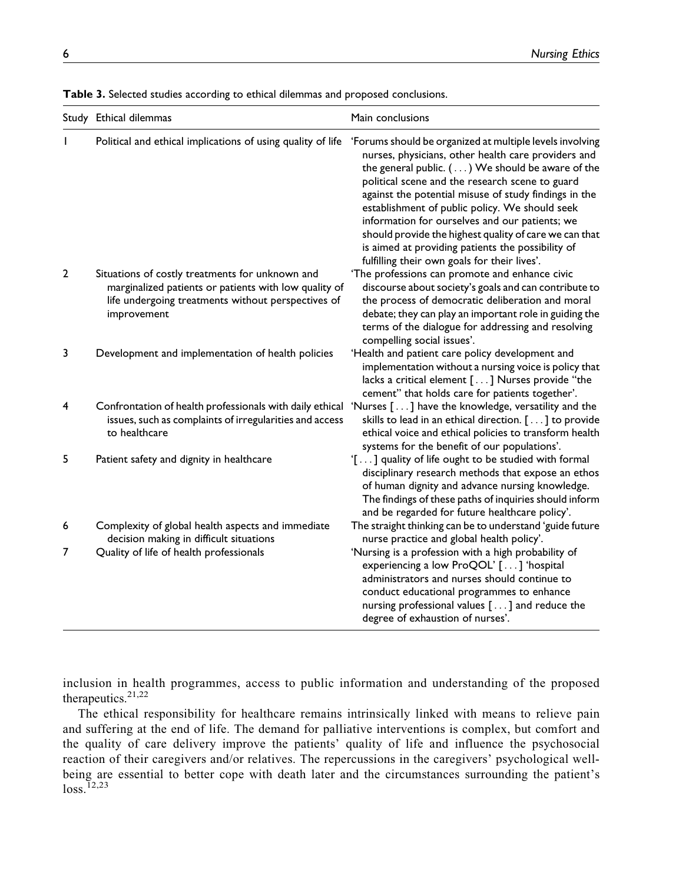|                | Study Ethical dilemmas                                                                                                                                                        | Main conclusions                                                                                                                                                                                                                                                                                                                                                                                                                                                                                                                                   |
|----------------|-------------------------------------------------------------------------------------------------------------------------------------------------------------------------------|----------------------------------------------------------------------------------------------------------------------------------------------------------------------------------------------------------------------------------------------------------------------------------------------------------------------------------------------------------------------------------------------------------------------------------------------------------------------------------------------------------------------------------------------------|
|                | Political and ethical implications of using quality of life                                                                                                                   | 'Forums should be organized at multiple levels involving<br>nurses, physicians, other health care providers and<br>the general public. () We should be aware of the<br>political scene and the research scene to guard<br>against the potential misuse of study findings in the<br>establishment of public policy. We should seek<br>information for ourselves and our patients; we<br>should provide the highest quality of care we can that<br>is aimed at providing patients the possibility of<br>fulfilling their own goals for their lives'. |
| $\overline{2}$ | Situations of costly treatments for unknown and<br>marginalized patients or patients with low quality of<br>life undergoing treatments without perspectives of<br>improvement | 'The professions can promote and enhance civic<br>discourse about society's goals and can contribute to<br>the process of democratic deliberation and moral<br>debate; they can play an important role in guiding the<br>terms of the dialogue for addressing and resolving<br>compelling social issues'.                                                                                                                                                                                                                                          |
| 3              | Development and implementation of health policies                                                                                                                             | 'Health and patient care policy development and<br>implementation without a nursing voice is policy that<br>lacks a critical element [] Nurses provide "the<br>cement" that holds care for patients together'.                                                                                                                                                                                                                                                                                                                                     |
| 4              | Confrontation of health professionals with daily ethical<br>issues, such as complaints of irregularities and access<br>to healthcare                                          | 'Nurses [] have the knowledge, versatility and the<br>skills to lead in an ethical direction. [] to provide<br>ethical voice and ethical policies to transform health<br>systems for the benefit of our populations'.                                                                                                                                                                                                                                                                                                                              |
| 5              | Patient safety and dignity in healthcare                                                                                                                                      | '[] quality of life ought to be studied with formal<br>disciplinary research methods that expose an ethos<br>of human dignity and advance nursing knowledge.<br>The findings of these paths of inquiries should inform<br>and be regarded for future healthcare policy'.                                                                                                                                                                                                                                                                           |
| 6              | Complexity of global health aspects and immediate<br>decision making in difficult situations                                                                                  | The straight thinking can be to understand 'guide future<br>nurse practice and global health policy'.                                                                                                                                                                                                                                                                                                                                                                                                                                              |
| 7              | Quality of life of health professionals                                                                                                                                       | 'Nursing is a profession with a high probability of<br>experiencing a low ProQOL' [] 'hospital<br>administrators and nurses should continue to<br>conduct educational programmes to enhance<br>nursing professional values [] and reduce the<br>degree of exhaustion of nurses'.                                                                                                                                                                                                                                                                   |

Table 3. Selected studies according to ethical dilemmas and proposed conclusions.

inclusion in health programmes, access to public information and understanding of the proposed therapeutics.<sup>21,22</sup>

The ethical responsibility for healthcare remains intrinsically linked with means to relieve pain and suffering at the end of life. The demand for palliative interventions is complex, but comfort and the quality of care delivery improve the patients' quality of life and influence the psychosocial reaction of their caregivers and/or relatives. The repercussions in the caregivers' psychological wellbeing are essential to better cope with death later and the circumstances surrounding the patient's  $loss.$ <sup>12,23</sup>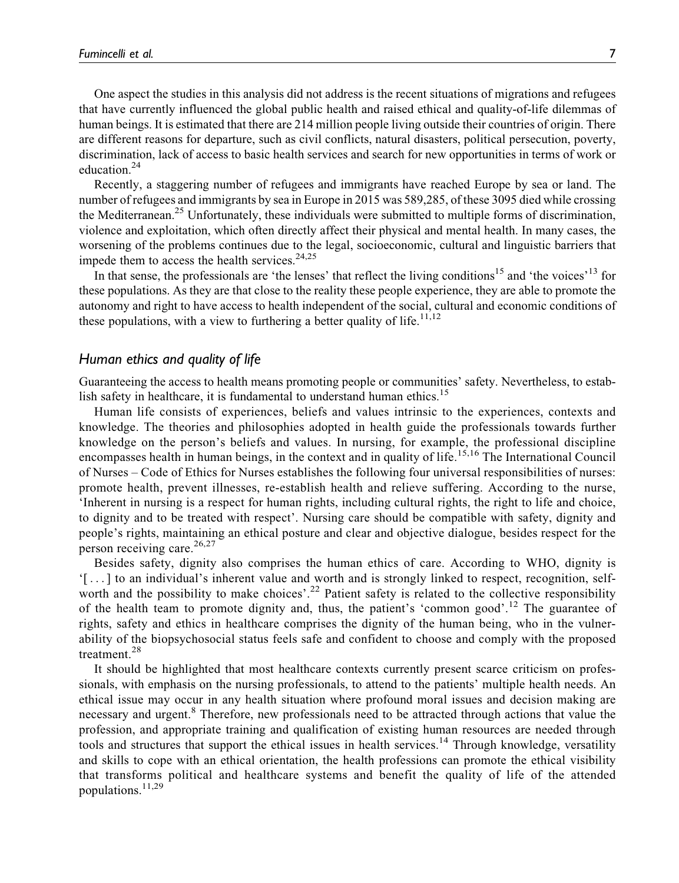One aspect the studies in this analysis did not address is the recent situations of migrations and refugees that have currently influenced the global public health and raised ethical and quality-of-life dilemmas of human beings. It is estimated that there are 214 million people living outside their countries of origin. There are different reasons for departure, such as civil conflicts, natural disasters, political persecution, poverty, discrimination, lack of access to basic health services and search for new opportunities in terms of work or education.<sup>24</sup>

Recently, a staggering number of refugees and immigrants have reached Europe by sea or land. The number of refugees and immigrants by sea in Europe in 2015 was 589,285, of these 3095 died while crossing the Mediterranean.<sup>25</sup> Unfortunately, these individuals were submitted to multiple forms of discrimination, violence and exploitation, which often directly affect their physical and mental health. In many cases, the worsening of the problems continues due to the legal, socioeconomic, cultural and linguistic barriers that impede them to access the health services. $24,25$ 

In that sense, the professionals are 'the lenses' that reflect the living conditions<sup>15</sup> and 'the voices'<sup>13</sup> for these populations. As they are that close to the reality these people experience, they are able to promote the autonomy and right to have access to health independent of the social, cultural and economic conditions of these populations, with a view to furthering a better quality of life.<sup>11,12</sup>

### Human ethics and quality of life

Guaranteeing the access to health means promoting people or communities' safety. Nevertheless, to establish safety in healthcare, it is fundamental to understand human ethics.<sup>15</sup>

Human life consists of experiences, beliefs and values intrinsic to the experiences, contexts and knowledge. The theories and philosophies adopted in health guide the professionals towards further knowledge on the person's beliefs and values. In nursing, for example, the professional discipline encompasses health in human beings, in the context and in quality of life.<sup>15,16</sup> The International Council of Nurses – Code of Ethics for Nurses establishes the following four universal responsibilities of nurses: promote health, prevent illnesses, re-establish health and relieve suffering. According to the nurse, 'Inherent in nursing is a respect for human rights, including cultural rights, the right to life and choice, to dignity and to be treated with respect'. Nursing care should be compatible with safety, dignity and people's rights, maintaining an ethical posture and clear and objective dialogue, besides respect for the person receiving care.<sup>26,27</sup>

Besides safety, dignity also comprises the human ethics of care. According to WHO, dignity is '[ ...] to an individual's inherent value and worth and is strongly linked to respect, recognition, selfworth and the possibility to make choices'.<sup>22</sup> Patient safety is related to the collective responsibility of the health team to promote dignity and, thus, the patient's 'common good'.<sup>12</sup> The guarantee of rights, safety and ethics in healthcare comprises the dignity of the human being, who in the vulnerability of the biopsychosocial status feels safe and confident to choose and comply with the proposed treatment.<sup>28</sup>

It should be highlighted that most healthcare contexts currently present scarce criticism on professionals, with emphasis on the nursing professionals, to attend to the patients' multiple health needs. An ethical issue may occur in any health situation where profound moral issues and decision making are necessary and urgent.<sup>8</sup> Therefore, new professionals need to be attracted through actions that value the profession, and appropriate training and qualification of existing human resources are needed through tools and structures that support the ethical issues in health services.<sup>14</sup> Through knowledge, versatility and skills to cope with an ethical orientation, the health professions can promote the ethical visibility that transforms political and healthcare systems and benefit the quality of life of the attended populations.11,29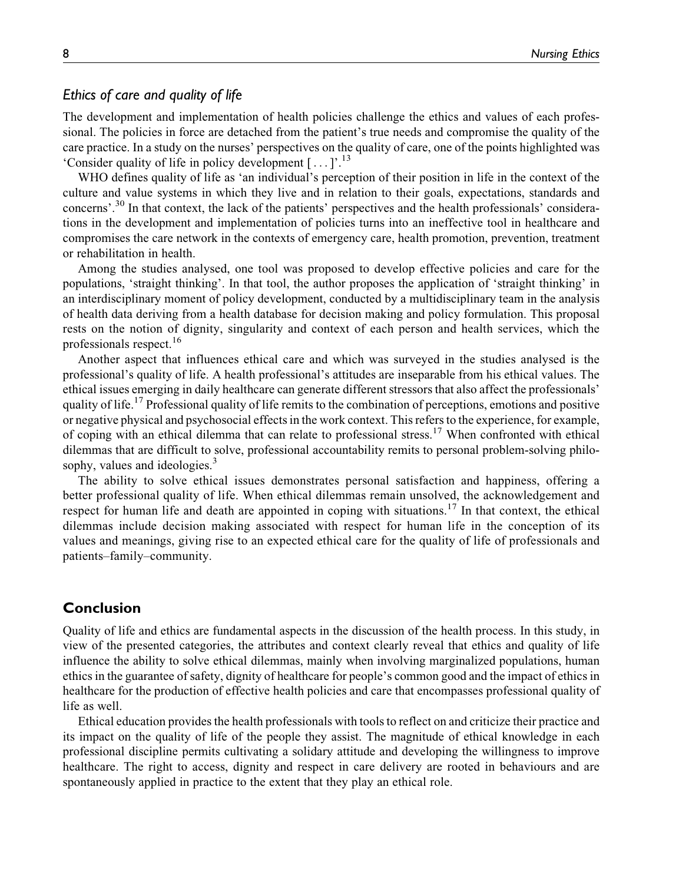## Ethics of care and quality of life

The development and implementation of health policies challenge the ethics and values of each professional. The policies in force are detached from the patient's true needs and compromise the quality of the care practice. In a study on the nurses' perspectives on the quality of care, one of the points highlighted was 'Consider quality of life in policy development  $[\dots]$ <sup>13</sup>

WHO defines quality of life as 'an individual's perception of their position in life in the context of the culture and value systems in which they live and in relation to their goals, expectations, standards and concerns'.<sup>30</sup> In that context, the lack of the patients' perspectives and the health professionals' considerations in the development and implementation of policies turns into an ineffective tool in healthcare and compromises the care network in the contexts of emergency care, health promotion, prevention, treatment or rehabilitation in health.

Among the studies analysed, one tool was proposed to develop effective policies and care for the populations, 'straight thinking'. In that tool, the author proposes the application of 'straight thinking' in an interdisciplinary moment of policy development, conducted by a multidisciplinary team in the analysis of health data deriving from a health database for decision making and policy formulation. This proposal rests on the notion of dignity, singularity and context of each person and health services, which the professionals respect.<sup>16</sup>

Another aspect that influences ethical care and which was surveyed in the studies analysed is the professional's quality of life. A health professional's attitudes are inseparable from his ethical values. The ethical issues emerging in daily healthcare can generate different stressors that also affect the professionals' quality of life.<sup>17</sup> Professional quality of life remits to the combination of perceptions, emotions and positive or negative physical and psychosocial effects in the work context. This refers to the experience, for example, of coping with an ethical dilemma that can relate to professional stress.<sup>17</sup> When confronted with ethical dilemmas that are difficult to solve, professional accountability remits to personal problem-solving philosophy, values and ideologies.<sup>3</sup>

The ability to solve ethical issues demonstrates personal satisfaction and happiness, offering a better professional quality of life. When ethical dilemmas remain unsolved, the acknowledgement and respect for human life and death are appointed in coping with situations.<sup>17</sup> In that context, the ethical dilemmas include decision making associated with respect for human life in the conception of its values and meanings, giving rise to an expected ethical care for the quality of life of professionals and patients–family–community.

## Conclusion

Quality of life and ethics are fundamental aspects in the discussion of the health process. In this study, in view of the presented categories, the attributes and context clearly reveal that ethics and quality of life influence the ability to solve ethical dilemmas, mainly when involving marginalized populations, human ethics in the guarantee of safety, dignity of healthcare for people's common good and the impact of ethics in healthcare for the production of effective health policies and care that encompasses professional quality of life as well.

Ethical education provides the health professionals with tools to reflect on and criticize their practice and its impact on the quality of life of the people they assist. The magnitude of ethical knowledge in each professional discipline permits cultivating a solidary attitude and developing the willingness to improve healthcare. The right to access, dignity and respect in care delivery are rooted in behaviours and are spontaneously applied in practice to the extent that they play an ethical role.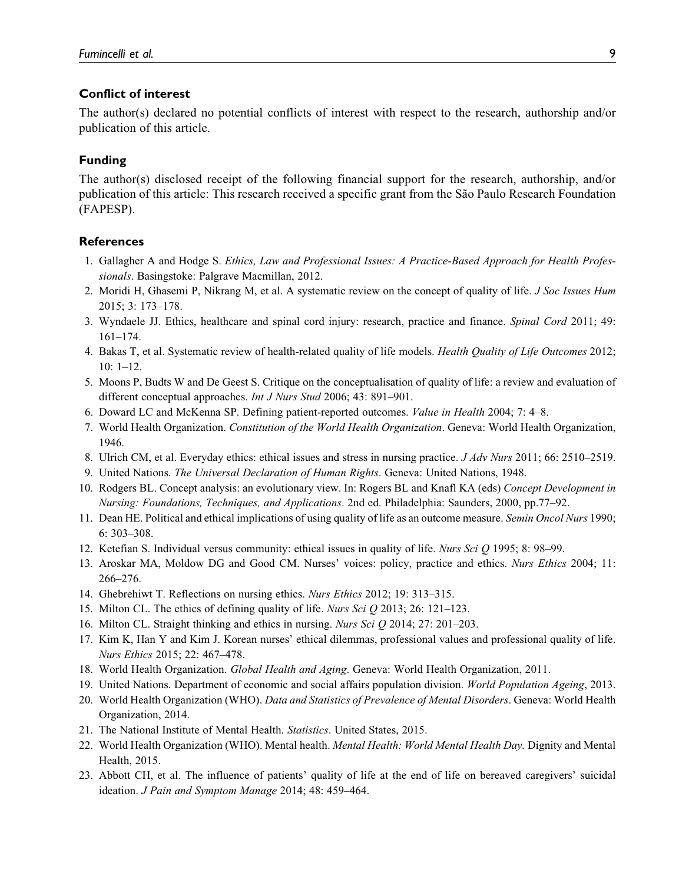#### Conflict of interest

The author(s) declared no potential conflicts of interest with respect to the research, authorship and/or publication of this article.

#### Funding

The author(s) disclosed receipt of the following financial support for the research, authorship, and/or publication of this article: This research received a specific grant from the São Paulo Research Foundation (FAPESP).

#### **References**

- 1. Gallagher A and Hodge S. Ethics, Law and Professional Issues: A Practice-Based Approach for Health Professionals. Basingstoke: Palgrave Macmillan, 2012.
- 2. Moridi H, Ghasemi P, Nikrang M, et al. A systematic review on the concept of quality of life. J Soc Issues Hum 2015; 3: 173–178.
- 3. Wyndaele JJ. Ethics, healthcare and spinal cord injury: research, practice and finance. Spinal Cord 2011; 49: 161–174.
- 4. Bakas T, et al. Systematic review of health-related quality of life models. Health Quality of Life Outcomes 2012; 10: 1–12.
- 5. Moons P, Budts W and De Geest S. Critique on the conceptualisation of quality of life: a review and evaluation of different conceptual approaches. *Int J Nurs Stud* 2006; 43: 891–901.
- 6. Doward LC and McKenna SP. Defining patient-reported outcomes. Value in Health 2004; 7: 4–8.
- 7. World Health Organization. Constitution of the World Health Organization. Geneva: World Health Organization, 1946.
- 8. Ulrich CM, et al. Everyday ethics: ethical issues and stress in nursing practice. J Adv Nurs 2011; 66: 2510–2519.
- 9. United Nations. The Universal Declaration of Human Rights. Geneva: United Nations, 1948.
- 10. Rodgers BL. Concept analysis: an evolutionary view. In: Rogers BL and Knafl KA (eds) Concept Development in Nursing: Foundations, Techniques, and Applications. 2nd ed. Philadelphia: Saunders, 2000, pp.77–92.
- 11. Dean HE. Political and ethical implications of using quality of life as an outcome measure. Semin Oncol Nurs 1990; 6: 303–308.
- 12. Ketefian S. Individual versus community: ethical issues in quality of life. Nurs Sci Q 1995; 8: 98–99.
- 13. Aroskar MA, Moldow DG and Good CM. Nurses' voices: policy, practice and ethics. Nurs Ethics 2004; 11: 266–276.
- 14. Ghebrehiwt T. Reflections on nursing ethics. Nurs Ethics 2012; 19: 313–315.
- 15. Milton CL. The ethics of defining quality of life. Nurs Sci Q 2013; 26: 121–123.
- 16. Milton CL. Straight thinking and ethics in nursing. Nurs Sci Q 2014; 27: 201–203.
- 17. Kim K, Han Y and Kim J. Korean nurses' ethical dilemmas, professional values and professional quality of life. Nurs Ethics 2015; 22: 467–478.
- 18. World Health Organization. Global Health and Aging. Geneva: World Health Organization, 2011.
- 19. United Nations. Department of economic and social affairs population division. World Population Ageing, 2013.
- 20. World Health Organization (WHO). Data and Statistics of Prevalence of Mental Disorders. Geneva: World Health Organization, 2014.
- 21. The National Institute of Mental Health. Statistics. United States, 2015.
- 22. World Health Organization (WHO). Mental health. Mental Health: World Mental Health Day. Dignity and Mental Health, 2015.
- 23. Abbott CH, et al. The influence of patients' quality of life at the end of life on bereaved caregivers' suicidal ideation. J Pain and Symptom Manage 2014; 48: 459–464.